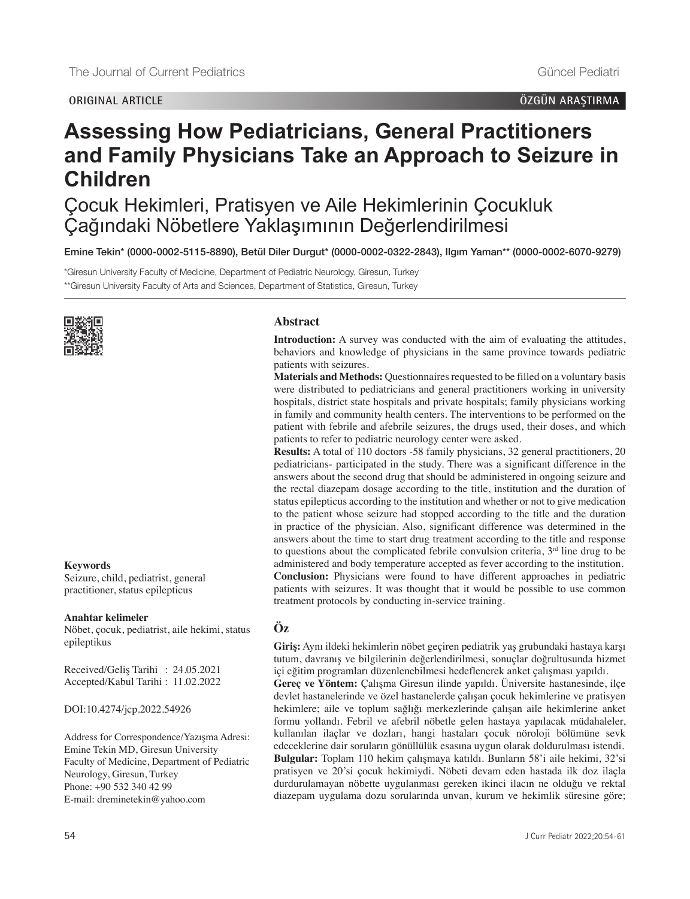### **ORIGINAL ARTICLE ÖZGÜN ARAŞTIRMA**

# **Assessing How Pediatricians, General Practitioners and Family Physicians Take an Approach to Seizure in Children**

Çocuk Hekimleri, Pratisyen ve Aile Hekimlerinin Çocukluk Çağındaki Nöbetlere Yaklaşımının Değerlendirilmesi

Emine Tekin\* [\(0000-0002-5115-8890\)](https://orcid.org/0000-0002-5115-8890), Betül Diler Durgut\* [\(0000-0002-0322-2843\)](https://orcid.org/0000-0002-0322-2843), Ilgım Yaman\*\* [\(0000-0002-6070-9279\)](https://orcid.org/0000-0002-6070-9279)

\*Giresun University Faculty of Medicine, Department of Pediatric Neurology, Giresun, Turkey \*\*Giresun University Faculty of Arts and Sciences, Department of Statistics, Giresun, Turkey



**Keywords** Seizure, child, pediatrist, general practitioner, status epilepticus

#### **Anahtar kelimeler**

Nöbet, çocuk, pediatrist, aile hekimi, status epileptikus

Received/Geliş Tarihi : 24.05.2021 Accepted/Kabul Tarihi : 11.02.2022

DOI:10.4274/jcp.2022.54926

Address for Correspondence/Yazışma Adresi: Emine Tekin MD, Giresun University Faculty of Medicine, Department of Pediatric Neurology, Giresun, Turkey Phone: +90 532 340 42 99 E-mail: dreminetekin@yahoo.com

### **Abstract**

**Introduction:** A survey was conducted with the aim of evaluating the attitudes, behaviors and knowledge of physicians in the same province towards pediatric patients with seizures.

**Materials and Methods:** Questionnaires requested to be filled on a voluntary basis were distributed to pediatricians and general practitioners working in university hospitals, district state hospitals and private hospitals; family physicians working in family and community health centers. The interventions to be performed on the patient with febrile and afebrile seizures, the drugs used, their doses, and which patients to refer to pediatric neurology center were asked.

**Results:** A total of 110 doctors -58 family physicians, 32 general practitioners, 20 pediatricians- participated in the study. There was a significant difference in the answers about the second drug that should be administered in ongoing seizure and the rectal diazepam dosage according to the title, institution and the duration of status epilepticus according to the institution and whether or not to give medication to the patient whose seizure had stopped according to the title and the duration in practice of the physician. Also, significant difference was determined in the answers about the time to start drug treatment according to the title and response to questions about the complicated febrile convulsion criteria,  $3<sup>rd</sup>$  line drug to be administered and body temperature accepted as fever according to the institution. **Conclusion:** Physicians were found to have different approaches in pediatric patients with seizures. It was thought that it would be possible to use common treatment protocols by conducting in-service training.

## **Öz**

**Giriş:** Aynı ildeki hekimlerin nöbet geçiren pediatrik yaş grubundaki hastaya karşı tutum, davranış ve bilgilerinin değerlendirilmesi, sonuçlar doğrultusunda hizmet içi eğitim programları düzenlenebilmesi hedeflenerek anket çalışması yapıldı.

**Gereç ve Yöntem:** Çalışma Giresun ilinde yapıldı. Üniversite hastanesinde, ilçe devlet hastanelerinde ve özel hastanelerde çalışan çocuk hekimlerine ve pratisyen hekimlere; aile ve toplum sağlığı merkezlerinde çalışan aile hekimlerine anket formu yollandı. Febril ve afebril nöbetle gelen hastaya yapılacak müdahaleler, kullanılan ilaçlar ve dozları, hangi hastaları çocuk nöroloji bölümüne sevk edeceklerine dair soruların gönüllülük esasına uygun olarak doldurulması istendi. **Bulgular:** Toplam 110 hekim çalışmaya katıldı. Bunların 58'i aile hekimi, 32'si pratisyen ve 20'si çocuk hekimiydi. Nöbeti devam eden hastada ilk doz ilaçla durdurulamayan nöbette uygulanması gereken ikinci ilacın ne olduğu ve rektal diazepam uygulama dozu sorularında unvan, kurum ve hekimlik süresine göre;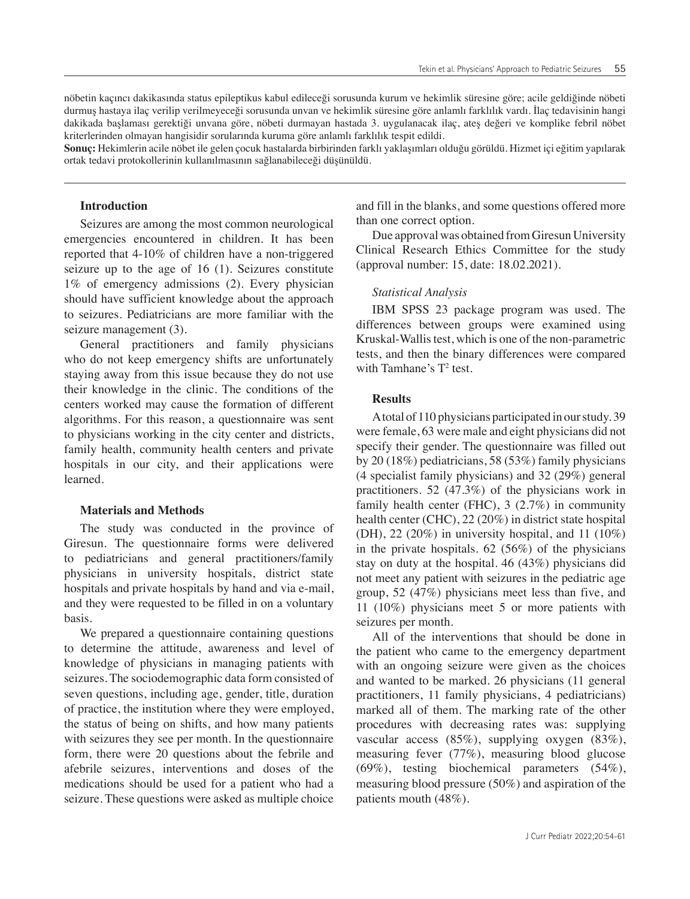nöbetin kaçıncı dakikasında status epileptikus kabul edileceği sorusunda kurum ve hekimlik süresine göre; acile geldiğinde nöbeti durmuş hastaya ilaç verilip verilmeyeceği sorusunda unvan ve hekimlik süresine göre anlamlı farklılık vardı. İlaç tedavisinin hangi dakikada başlaması gerektiği unvana göre, nöbeti durmayan hastada 3. uygulanacak ilaç, ateş değeri ve komplike febril nöbet kriterlerinden olmayan hangisidir sorularında kuruma göre anlamlı farklılık tespit edildi.

**Sonuç:** Hekimlerin acile nöbet ile gelen çocuk hastalarda birbirinden farklı yaklaşımları olduğu görüldü. Hizmet içi eğitim yapılarak ortak tedavi protokollerinin kullanılmasının sağlanabileceği düşünüldü.

### **Introduction**

Seizures are among the most common neurological emergencies encountered in children. It has been reported that 4-10% of children have a non-triggered seizure up to the age of 16 (1). Seizures constitute 1% of emergency admissions (2). Every physician should have sufficient knowledge about the approach to seizures. Pediatricians are more familiar with the seizure management (3).

General practitioners and family physicians who do not keep emergency shifts are unfortunately staying away from this issue because they do not use their knowledge in the clinic. The conditions of the centers worked may cause the formation of different algorithms. For this reason, a questionnaire was sent to physicians working in the city center and districts, family health, community health centers and private hospitals in our city, and their applications were learned.

#### **Materials and Methods**

The study was conducted in the province of Giresun. The questionnaire forms were delivered to pediatricians and general practitioners/family physicians in university hospitals, district state hospitals and private hospitals by hand and via e-mail, and they were requested to be filled in on a voluntary basis.

We prepared a questionnaire containing questions to determine the attitude, awareness and level of knowledge of physicians in managing patients with seizures. The sociodemographic data form consisted of seven questions, including age, gender, title, duration of practice, the institution where they were employed, the status of being on shifts, and how many patients with seizures they see per month. In the questionnaire form, there were 20 questions about the febrile and afebrile seizures, interventions and doses of the medications should be used for a patient who had a seizure. These questions were asked as multiple choice

and fill in the blanks, and some questions offered more than one correct option.

Due approval was obtained from Giresun University Clinical Research Ethics Committee for the study (approval number: 15, date: 18.02.2021).

#### *Statistical Analysis*

IBM SPSS 23 package program was used. The differences between groups were examined using Kruskal-Wallis test, which is one of the non-parametric tests, and then the binary differences were compared with Tamhane's  $T^2$  test.

### **Results**

A total of 110 physicians participated in our study. 39 were female, 63 were male and eight physicians did not specify their gender. The questionnaire was filled out by 20 (18%) pediatricians, 58 (53%) family physicians (4 specialist family physicians) and 32 (29%) general practitioners. 52 (47.3%) of the physicians work in family health center (FHC),  $3(2.7%)$  in community health center (CHC), 22 (20%) in district state hospital (DH), 22 (20%) in university hospital, and 11 (10%) in the private hospitals. 62 (56%) of the physicians stay on duty at the hospital. 46 (43%) physicians did not meet any patient with seizures in the pediatric age group, 52 (47%) physicians meet less than five, and 11 (10%) physicians meet 5 or more patients with seizures per month.

All of the interventions that should be done in the patient who came to the emergency department with an ongoing seizure were given as the choices and wanted to be marked. 26 physicians (11 general practitioners, 11 family physicians, 4 pediatricians) marked all of them. The marking rate of the other procedures with decreasing rates was: supplying vascular access (85%), supplying oxygen (83%), measuring fever (77%), measuring blood glucose (69%), testing biochemical parameters (54%), measuring blood pressure (50%) and aspiration of the patients mouth (48%).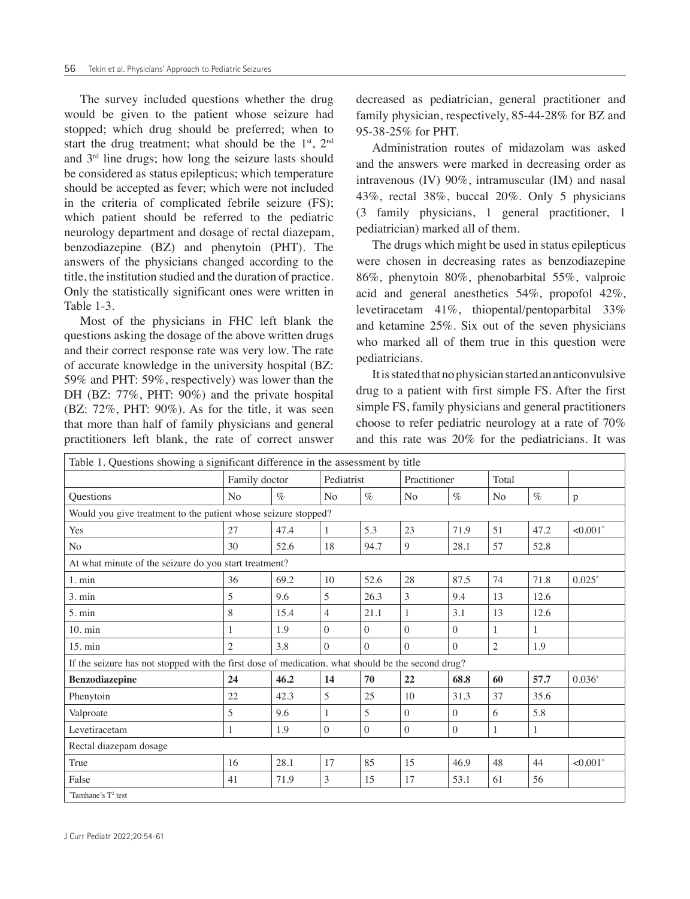The survey included questions whether the drug would be given to the patient whose seizure had stopped; which drug should be preferred; when to start the drug treatment; what should be the  $1<sup>st</sup>$ ,  $2<sup>nd</sup>$ and 3rd line drugs; how long the seizure lasts should be considered as status epilepticus; which temperature should be accepted as fever; which were not included in the criteria of complicated febrile seizure (FS); which patient should be referred to the pediatric neurology department and dosage of rectal diazepam, benzodiazepine (BZ) and phenytoin (PHT). The answers of the physicians changed according to the title, the institution studied and the duration of practice. Only the statistically significant ones were written in Table 1-3.

Most of the physicians in FHC left blank the questions asking the dosage of the above written drugs and their correct response rate was very low. The rate of accurate knowledge in the university hospital (BZ: 59% and PHT: 59%, respectively) was lower than the DH (BZ: 77%, PHT: 90%) and the private hospital (BZ: 72%, PHT: 90%). As for the title, it was seen that more than half of family physicians and general practitioners left blank, the rate of correct answer decreased as pediatrician, general practitioner and family physician, respectively, 85-44-28% for BZ and 95-38-25% for PHT.

Administration routes of midazolam was asked and the answers were marked in decreasing order as intravenous (IV) 90%, intramuscular (IM) and nasal 43%, rectal 38%, buccal 20%. Only 5 physicians (3 family physicians, 1 general practitioner, 1 pediatrician) marked all of them.

The drugs which might be used in status epilepticus were chosen in decreasing rates as benzodiazepine 86%, phenytoin 80%, phenobarbital 55%, valproic acid and general anesthetics 54%, propofol 42%, levetiracetam 41%, thiopental/pentoparbital 33% and ketamine 25%. Six out of the seven physicians who marked all of them true in this question were pediatricians.

It is stated that no physician started an anticonvulsive drug to a patient with first simple FS. After the first simple FS, family physicians and general practitioners choose to refer pediatric neurology at a rate of 70% and this rate was 20% for the pediatricians. It was

| Table 1. Questions showing a significant difference in the assessment by title                    |                |      |                |          |                |                |                |              |                        |  |  |
|---------------------------------------------------------------------------------------------------|----------------|------|----------------|----------|----------------|----------------|----------------|--------------|------------------------|--|--|
|                                                                                                   | Family doctor  |      | Pediatrist     |          | Practitioner   |                | Total          |              |                        |  |  |
| Questions                                                                                         | N <sub>0</sub> | $\%$ | No             | $\%$     | N <sub>o</sub> | $\%$           | N <sub>o</sub> | $\%$         | p                      |  |  |
| Would you give treatment to the patient whose seizure stopped?                                    |                |      |                |          |                |                |                |              |                        |  |  |
| Yes                                                                                               | 27             | 47.4 | 1              | 5.3      | 23             | 71.9           | 51             | 47.2         | $< 0.001$ <sup>*</sup> |  |  |
| N <sub>o</sub>                                                                                    | 30             | 52.6 | 18             | 94.7     | 9              | 28.1           | 57             | 52.8         |                        |  |  |
| At what minute of the seizure do you start treatment?                                             |                |      |                |          |                |                |                |              |                        |  |  |
| 1. min                                                                                            | 36             | 69.2 | 10             | 52.6     | 28             | 87.5           | 74             | 71.8         | $0.025*$               |  |  |
| 3. min                                                                                            | 5              | 9.6  | 5              | 26.3     | 3              | 9.4            | 13             | 12.6         |                        |  |  |
| 5. min                                                                                            | 8              | 15.4 | $\overline{4}$ | 21.1     | $\mathbf{1}$   | 3.1            | 13             | 12.6         |                        |  |  |
| $10. \text{min}$                                                                                  | 1              | 1.9  | $\Omega$       | $\theta$ | $\Omega$       | $\overline{0}$ | 1              | 1            |                        |  |  |
| $15. \text{min}$                                                                                  | $\overline{c}$ | 3.8  | $\Omega$       | $\Omega$ | $\Omega$       | $\Omega$       | $\overline{2}$ | 1.9          |                        |  |  |
| If the seizure has not stopped with the first dose of medication. what should be the second drug? |                |      |                |          |                |                |                |              |                        |  |  |
| <b>Benzodiazepine</b>                                                                             | 24             | 46.2 | 14             | 70       | 22             | 68.8           | 60             | 57.7         | $0.036*$               |  |  |
| Phenytoin                                                                                         | 22             | 42.3 | 5              | 25       | 10             | 31.3           | 37             | 35.6         |                        |  |  |
| Valproate                                                                                         | 5              | 9.6  | $\mathbf{1}$   | 5        | $\Omega$       | $\theta$       | 6              | 5.8          |                        |  |  |
| Levetiracetam                                                                                     | $\mathbf{1}$   | 1.9  | $\Omega$       | $\Omega$ | $\theta$       | $\overline{0}$ | $\mathbf{1}$   | $\mathbf{1}$ |                        |  |  |
| Rectal diazepam dosage                                                                            |                |      |                |          |                |                |                |              |                        |  |  |
| True                                                                                              | 16             | 28.1 | 17             | 85       | 15             | 46.9           | 48             | 44           | $< 0.001$ *            |  |  |
| False                                                                                             | 41             | 71.9 | $\mathfrak{Z}$ | 15       | 17             | 53.1           | 61             | 56           |                        |  |  |
| "Tamhane's $T^2$ test                                                                             |                |      |                |          |                |                |                |              |                        |  |  |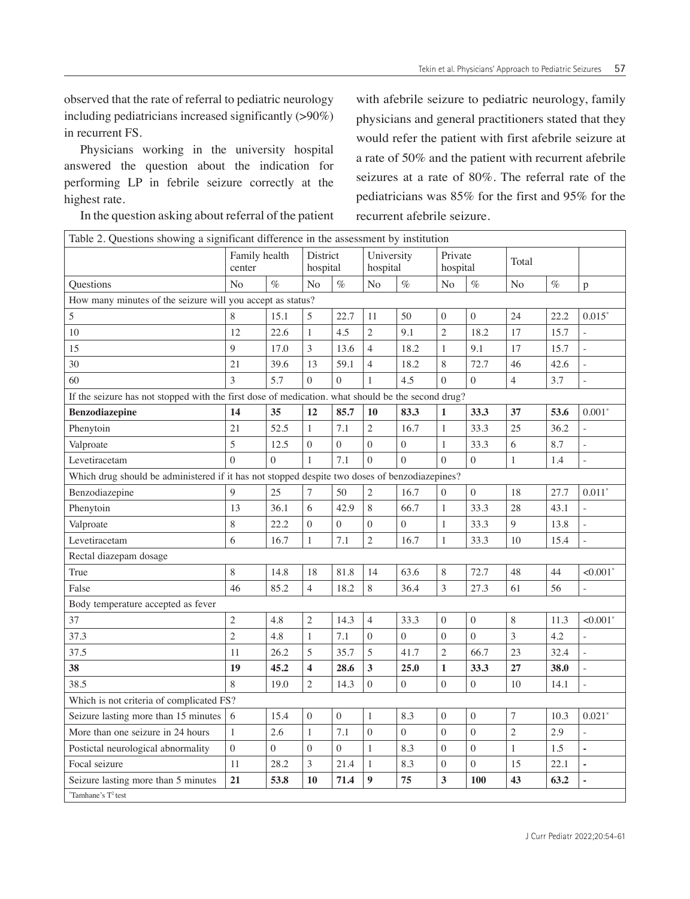observed that the rate of referral to pediatric neurology including pediatricians increased significantly (>90%) in recurrent FS.

Physicians working in the university hospital answered the question about the indication for performing LP in febrile seizure correctly at the highest rate.

In the question asking about referral of the patient

with afebrile seizure to pediatric neurology, family physicians and general practitioners stated that they would refer the patient with first afebrile seizure at a rate of 50% and the patient with recurrent afebrile seizures at a rate of 80%. The referral rate of the pediatricians was 85% for the first and 95% for the recurrent afebrile seizure.

| Table 2. Questions showing a significant difference in the assessment by institution              |                         |                |                      |                  |                        |                |                     |                |                |      |                          |
|---------------------------------------------------------------------------------------------------|-------------------------|----------------|----------------------|------------------|------------------------|----------------|---------------------|----------------|----------------|------|--------------------------|
|                                                                                                   | Family health<br>center |                | District<br>hospital |                  | University<br>hospital |                | Private<br>hospital |                | Total          |      |                          |
| <b>Ouestions</b>                                                                                  | N <sub>o</sub>          | $\%$           | N <sub>o</sub>       | $\%$             | N <sub>o</sub>         | $\%$           | No                  | $\%$           | No             | $\%$ | p                        |
| How many minutes of the seizure will you accept as status?                                        |                         |                |                      |                  |                        |                |                     |                |                |      |                          |
| 5                                                                                                 | 8                       | 15.1           | 5                    | 22.7             | 11                     | 50             | $\mathbf{0}$        | $\overline{0}$ | 24             | 22.2 | $0.015*$                 |
| 10                                                                                                | 12                      | 22.6           | 1                    | 4.5              | $\overline{2}$         | 9.1            | $\mathfrak{2}$      | 18.2           | 17             | 15.7 |                          |
| 15                                                                                                | 9                       | 17.0           | 3                    | 13.6             | $\overline{4}$         | 18.2           | $\mathbf{1}$        | 9.1            | 17             | 15.7 | $\frac{1}{2}$            |
| 30                                                                                                | 21                      | 39.6           | 13                   | 59.1             | $\overline{4}$         | 18.2           | 8                   | 72.7           | 46             | 42.6 | $\overline{\phantom{a}}$ |
| 60                                                                                                | 3                       | 5.7            | $\Omega$             | $\theta$         | $\mathbf{1}$           | 4.5            | $\Omega$            | $\theta$       | $\overline{4}$ | 3.7  | L,                       |
| If the seizure has not stopped with the first dose of medication. what should be the second drug? |                         |                |                      |                  |                        |                |                     |                |                |      |                          |
| <b>Benzodiazepine</b>                                                                             | 14                      | 35             | 12                   | 85.7             | 10                     | 83.3           | $\mathbf{1}$        | 33.3           | 37             | 53.6 | $0.001*$                 |
| Phenytoin                                                                                         | 21                      | 52.5           | $\mathbf{1}$         | 7.1              | $\mathfrak{2}$         | 16.7           | $\mathbf{1}$        | 33.3           | 25             | 36.2 |                          |
| Valproate                                                                                         | 5                       | 12.5           | $\overline{0}$       | $\boldsymbol{0}$ | $\theta$               | $\theta$       | $\mathbf{1}$        | 33.3           | 6              | 8.7  |                          |
| Levetiracetam                                                                                     | $\overline{0}$          | $\Omega$       | $\mathbf{1}$         | 7.1              | $\Omega$               | $\overline{0}$ | $\Omega$            | $\overline{0}$ | $\mathbf{1}$   | 1.4  |                          |
| Which drug should be administered if it has not stopped despite two doses of benzodiazepines?     |                         |                |                      |                  |                        |                |                     |                |                |      |                          |
| Benzodiazepine                                                                                    | 9                       | 25             | 7                    | 50               | $\sqrt{2}$             | 16.7           | $\mathbf{0}$        | $\overline{0}$ | 18             | 27.7 | $0.011*$                 |
| Phenytoin                                                                                         | 13                      | 36.1           | 6                    | 42.9             | 8                      | 66.7           | 1                   | 33.3           | 28             | 43.1 | ÷,                       |
| Valproate                                                                                         | 8                       | 22.2           | $\boldsymbol{0}$     | $\boldsymbol{0}$ | $\boldsymbol{0}$       | $\overline{0}$ | $\mathbf{1}$        | 33.3           | 9              | 13.8 | $\overline{a}$           |
| Levetiracetam                                                                                     | 6                       | 16.7           | $\mathbf{1}$         | 7.1              | $\mathfrak{2}$         | 16.7           | $\mathbf{1}$        | 33.3           | 10             | 15.4 | $\overline{a}$           |
| Rectal diazepam dosage                                                                            |                         |                |                      |                  |                        |                |                     |                |                |      |                          |
| True                                                                                              | 8                       | 14.8           | 18                   | 81.8             | 14                     | 63.6           | 8                   | 72.7           | 48             | 44   | $< 0.001$ <sup>*</sup>   |
| False                                                                                             | 46                      | 85.2           | $\overline{4}$       | 18.2             | 8                      | 36.4           | 3                   | 27.3           | 61             | 56   |                          |
| Body temperature accepted as fever                                                                |                         |                |                      |                  |                        |                |                     |                |                |      |                          |
| 37                                                                                                | $\mathfrak{2}$          | 4.8            | $\mathfrak{2}$       | 14.3             | $\overline{4}$         | 33.3           | $\mathbf{0}$        | $\overline{0}$ | $\,8\,$        | 11.3 | $< 0.001$ *              |
| 37.3                                                                                              | $\overline{2}$          | 4.8            | $\mathbf{1}$         | 7.1              | $\overline{0}$         | $\overline{0}$ | $\mathbf{0}$        | $\overline{0}$ | 3              | 4.2  |                          |
| 37.5                                                                                              | 11                      | 26.2           | 5                    | 35.7             | 5                      | 41.7           | $\overline{2}$      | 66.7           | 23             | 32.4 |                          |
| 38                                                                                                | 19                      | 45.2           | 4                    | 28.6             | 3                      | 25.0           | $\mathbf{1}$        | 33.3           | 27             | 38.0 | $\frac{1}{2}$            |
| 38.5                                                                                              | 8                       | 19.0           | $\overline{c}$       | 14.3             | $\overline{0}$         | $\overline{0}$ | $\mathbf{0}$        | $\mathbf{0}$   | 10             | 14.1 | L.                       |
| Which is not criteria of complicated FS?                                                          |                         |                |                      |                  |                        |                |                     |                |                |      |                          |
| Seizure lasting more than 15 minutes                                                              | 6                       | 15.4           | $\mathbf{0}$         | $\overline{0}$   | $\mathbf{1}$           | 8.3            | $\mathbf{0}$        | $\mathbf{0}$   | $\overline{7}$ | 10.3 | $0.021*$                 |
| More than one seizure in 24 hours                                                                 | $\mathbf{1}$            | 2.6            | $\mathbf{1}$         | 7.1              | $\overline{0}$         | $\overline{0}$ | $\overline{0}$      | $\overline{0}$ | $\mathfrak{2}$ | 2.9  |                          |
| Postictal neurological abnormality                                                                | $\boldsymbol{0}$        | $\overline{0}$ | $\mathbf{0}$         | $\overline{0}$   | $\mathbf{1}$           | 8.3            | $\mathbf{0}$        | $\overline{0}$ | $\mathbf{1}$   | 1.5  | ä,                       |
| Focal seizure                                                                                     | 11                      | 28.2           | $\mathfrak{Z}$       | 21.4             | $\mathbf{1}$           | 8.3            | $\mathbf{0}$        | $\overline{0}$ | 15             | 22.1 | ä,                       |
| Seizure lasting more than 5 minutes                                                               | 21                      | 53.8           | 10                   | 71.4             | 9                      | 75             | 3                   | 100            | 43             | 63.2 | ä,                       |
| "Tamhane's T <sup>2</sup> test                                                                    |                         |                |                      |                  |                        |                |                     |                |                |      |                          |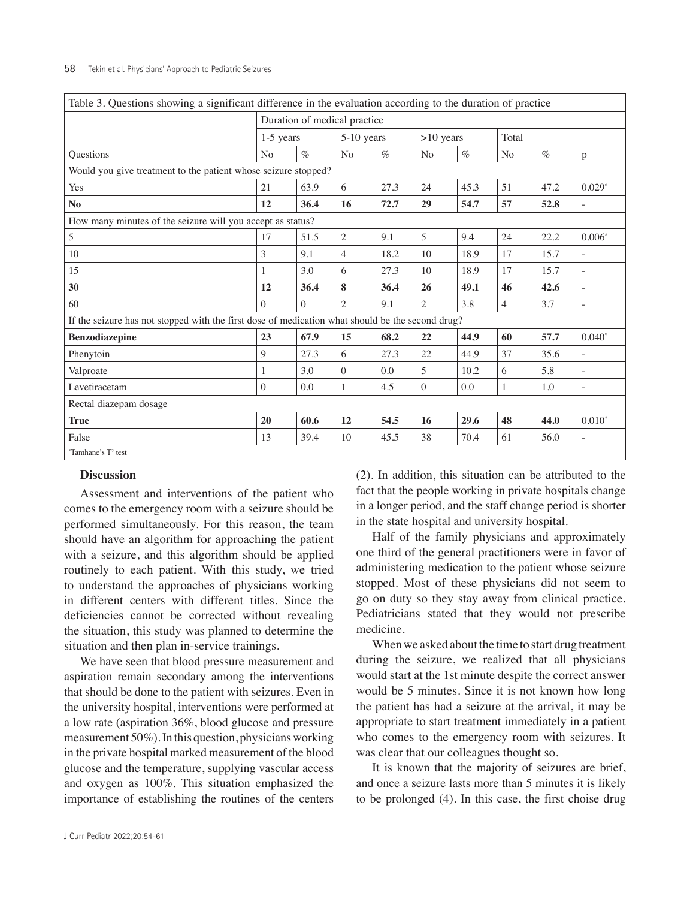| Table 3. Questions showing a significant difference in the evaluation according to the duration of practice |                              |          |                |      |                |      |                |      |              |  |  |  |
|-------------------------------------------------------------------------------------------------------------|------------------------------|----------|----------------|------|----------------|------|----------------|------|--------------|--|--|--|
|                                                                                                             | Duration of medical practice |          |                |      |                |      |                |      |              |  |  |  |
|                                                                                                             | $1-5$ years                  |          | 5-10 years     |      | $>10$ years    |      | Total          |      |              |  |  |  |
| Questions                                                                                                   | N <sub>o</sub>               | $\%$     | N <sub>o</sub> | $\%$ | N <sub>o</sub> | $\%$ | N <sub>o</sub> | $\%$ | $\mathbf{p}$ |  |  |  |
| Would you give treatment to the patient whose seizure stopped?                                              |                              |          |                |      |                |      |                |      |              |  |  |  |
| Yes                                                                                                         | 21                           | 63.9     | 6              | 27.3 | 24             | 45.3 | 51             | 47.2 | $0.029*$     |  |  |  |
| N <sub>0</sub>                                                                                              | 12                           | 36.4     | 16             | 72.7 | 29             | 54.7 | 57             | 52.8 | $\sim$       |  |  |  |
| How many minutes of the seizure will you accept as status?                                                  |                              |          |                |      |                |      |                |      |              |  |  |  |
| 5                                                                                                           | 17                           | 51.5     | $\overline{2}$ | 9.1  | 5              | 9.4  | 24             | 22.2 | $0.006*$     |  |  |  |
| 10                                                                                                          | 3                            | 9.1      | $\overline{4}$ | 18.2 | 10             | 18.9 | 17             | 15.7 |              |  |  |  |
| 15                                                                                                          | 1                            | 3.0      | 6              | 27.3 | 10             | 18.9 | 17             | 15.7 | $\sim$       |  |  |  |
| 30                                                                                                          | 12                           | 36.4     | 8              | 36.4 | 26             | 49.1 | 46             | 42.6 | $\sim$       |  |  |  |
| 60                                                                                                          | $\Omega$                     | $\Omega$ | $\overline{2}$ | 9.1  | $\overline{2}$ | 3.8  | $\overline{4}$ | 3.7  | ÷.           |  |  |  |
| If the seizure has not stopped with the first dose of medication what should be the second drug?            |                              |          |                |      |                |      |                |      |              |  |  |  |
| <b>Benzodiazepine</b>                                                                                       | 23                           | 67.9     | 15             | 68.2 | 22             | 44.9 | 60             | 57.7 | $0.040*$     |  |  |  |
| Phenytoin                                                                                                   | 9                            | 27.3     | 6              | 27.3 | 22             | 44.9 | 37             | 35.6 | $\sim$       |  |  |  |
| Valproate                                                                                                   | 1                            | 3.0      | $\Omega$       | 0.0  | 5              | 10.2 | 6              | 5.8  | ÷,           |  |  |  |
| Levetiracetam                                                                                               | $\Omega$                     | 0.0      | 1              | 4.5  | $\theta$       | 0.0  | 1              | 1.0  | $\sim$       |  |  |  |
| Rectal diazepam dosage                                                                                      |                              |          |                |      |                |      |                |      |              |  |  |  |
| <b>True</b>                                                                                                 | 20                           | 60.6     | 12             | 54.5 | 16             | 29.6 | 48             | 44.0 | $0.010*$     |  |  |  |
| False                                                                                                       | 13                           | 39.4     | 10             | 45.5 | 38             | 70.4 | 61             | 56.0 | $\sim$       |  |  |  |
| "Tamhane's $T^2$ test                                                                                       |                              |          |                |      |                |      |                |      |              |  |  |  |

#### **Discussion**

Assessment and interventions of the patient who comes to the emergency room with a seizure should be performed simultaneously. For this reason, the team should have an algorithm for approaching the patient with a seizure, and this algorithm should be applied routinely to each patient. With this study, we tried to understand the approaches of physicians working in different centers with different titles. Since the deficiencies cannot be corrected without revealing the situation, this study was planned to determine the situation and then plan in-service trainings.

We have seen that blood pressure measurement and aspiration remain secondary among the interventions that should be done to the patient with seizures. Even in the university hospital, interventions were performed at a low rate (aspiration 36%, blood glucose and pressure measurement 50%). In this question, physicians working in the private hospital marked measurement of the blood glucose and the temperature, supplying vascular access and oxygen as 100%. This situation emphasized the importance of establishing the routines of the centers (2). In addition, this situation can be attributed to the fact that the people working in private hospitals change in a longer period, and the staff change period is shorter in the state hospital and university hospital.

Half of the family physicians and approximately one third of the general practitioners were in favor of administering medication to the patient whose seizure stopped. Most of these physicians did not seem to go on duty so they stay away from clinical practice. Pediatricians stated that they would not prescribe medicine.

When we asked about the time to start drug treatment during the seizure, we realized that all physicians would start at the 1st minute despite the correct answer would be 5 minutes. Since it is not known how long the patient has had a seizure at the arrival, it may be appropriate to start treatment immediately in a patient who comes to the emergency room with seizures. It was clear that our colleagues thought so.

It is known that the majority of seizures are brief, and once a seizure lasts more than 5 minutes it is likely to be prolonged (4). In this case, the first choise drug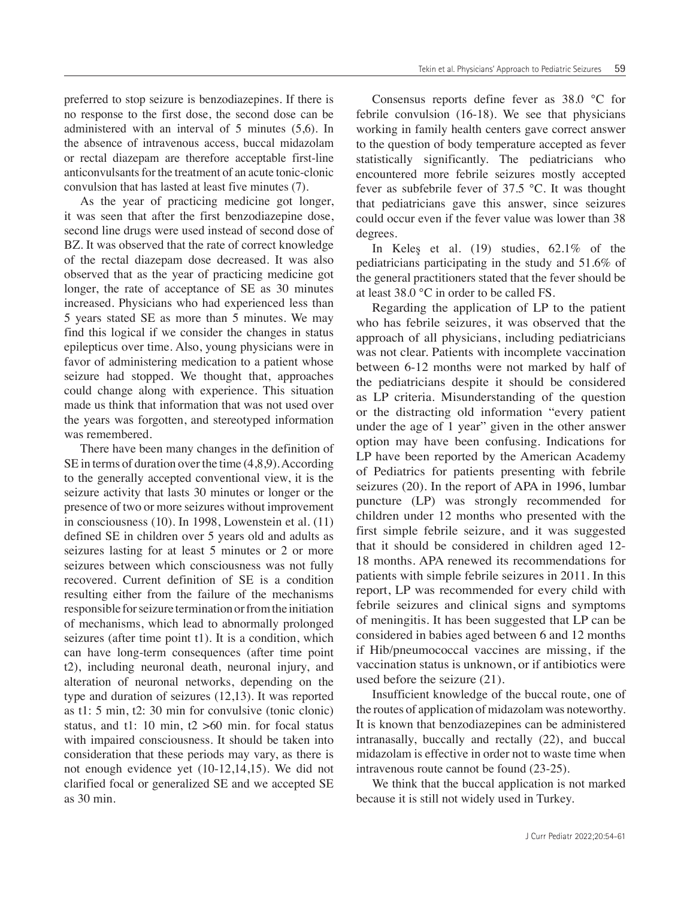preferred to stop seizure is benzodiazepines. If there is no response to the first dose, the second dose can be administered with an interval of 5 minutes (5,6). In the absence of intravenous access, buccal midazolam or rectal diazepam are therefore acceptable first-line anticonvulsants for the treatment of an acute tonic-clonic convulsion that has lasted at least five minutes (7).

As the year of practicing medicine got longer, it was seen that after the first benzodiazepine dose, second line drugs were used instead of second dose of BZ. It was observed that the rate of correct knowledge of the rectal diazepam dose decreased. It was also observed that as the year of practicing medicine got longer, the rate of acceptance of SE as 30 minutes increased. Physicians who had experienced less than 5 years stated SE as more than 5 minutes. We may find this logical if we consider the changes in status epilepticus over time. Also, young physicians were in favor of administering medication to a patient whose seizure had stopped. We thought that, approaches could change along with experience. This situation made us think that information that was not used over the years was forgotten, and stereotyped information was remembered.

There have been many changes in the definition of SE in terms of duration over the time (4,8,9). According to the generally accepted conventional view, it is the seizure activity that lasts 30 minutes or longer or the presence of two or more seizures without improvement in consciousness (10). In 1998, Lowenstein et al. (11) defined SE in children over 5 years old and adults as seizures lasting for at least 5 minutes or 2 or more seizures between which consciousness was not fully recovered. Current definition of SE is a condition resulting either from the failure of the mechanisms responsible for seizure termination or from the initiation of mechanisms, which lead to abnormally prolonged seizures (after time point t1). It is a condition, which can have long-term consequences (after time point t2), including neuronal death, neuronal injury, and alteration of neuronal networks, depending on the type and duration of seizures (12,13). It was reported as t1: 5 min, t2: 30 min for convulsive (tonic clonic) status, and t1: 10 min,  $t2 > 60$  min, for focal status with impaired consciousness. It should be taken into consideration that these periods may vary, as there is not enough evidence yet (10-12,14,15). We did not clarified focal or generalized SE and we accepted SE as 30 min.

Consensus reports define fever as 38.0 °C for febrile convulsion (16-18). We see that physicians working in family health centers gave correct answer to the question of body temperature accepted as fever statistically significantly. The pediatricians who encountered more febrile seizures mostly accepted fever as subfebrile fever of 37.5 °C. It was thought that pediatricians gave this answer, since seizures could occur even if the fever value was lower than 38 degrees.

In Keleş et al. (19) studies, 62.1% of the pediatricians participating in the study and 51.6% of the general practitioners stated that the fever should be at least 38.0 °C in order to be called FS.

Regarding the application of LP to the patient who has febrile seizures, it was observed that the approach of all physicians, including pediatricians was not clear. Patients with incomplete vaccination between 6-12 months were not marked by half of the pediatricians despite it should be considered as LP criteria. Misunderstanding of the question or the distracting old information "every patient under the age of 1 year" given in the other answer option may have been confusing. Indications for LP have been reported by the American Academy of Pediatrics for patients presenting with febrile seizures (20). In the report of APA in 1996, lumbar puncture (LP) was strongly recommended for children under 12 months who presented with the first simple febrile seizure, and it was suggested that it should be considered in children aged 12- 18 months. APA renewed its recommendations for patients with simple febrile seizures in 2011. In this report, LP was recommended for every child with febrile seizures and clinical signs and symptoms of meningitis. It has been suggested that LP can be considered in babies aged between 6 and 12 months if Hib/pneumococcal vaccines are missing, if the vaccination status is unknown, or if antibiotics were used before the seizure (21).

Insufficient knowledge of the buccal route, one of the routes of application of midazolam was noteworthy. It is known that benzodiazepines can be administered intranasally, buccally and rectally (22), and buccal midazolam is effective in order not to waste time when intravenous route cannot be found (23-25).

We think that the buccal application is not marked because it is still not widely used in Turkey.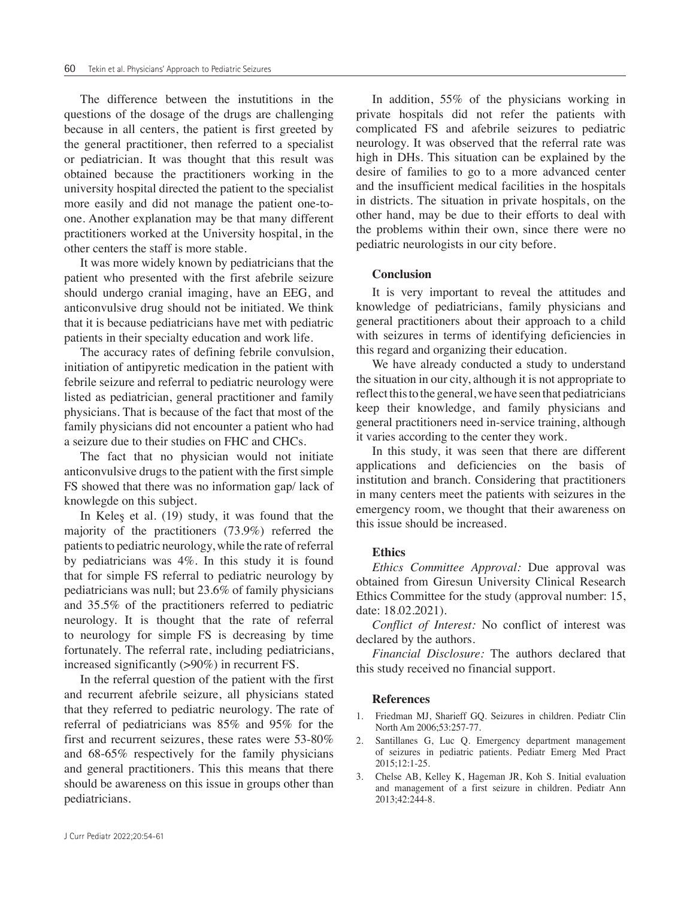The difference between the instutitions in the questions of the dosage of the drugs are challenging because in all centers, the patient is first greeted by the general practitioner, then referred to a specialist or pediatrician. It was thought that this result was obtained because the practitioners working in the university hospital directed the patient to the specialist more easily and did not manage the patient one-toone. Another explanation may be that many different practitioners worked at the University hospital, in the other centers the staff is more stable.

It was more widely known by pediatricians that the patient who presented with the first afebrile seizure should undergo cranial imaging, have an EEG, and anticonvulsive drug should not be initiated. We think that it is because pediatricians have met with pediatric patients in their specialty education and work life.

The accuracy rates of defining febrile convulsion, initiation of antipyretic medication in the patient with febrile seizure and referral to pediatric neurology were listed as pediatrician, general practitioner and family physicians. That is because of the fact that most of the family physicians did not encounter a patient who had a seizure due to their studies on FHC and CHCs.

The fact that no physician would not initiate anticonvulsive drugs to the patient with the first simple FS showed that there was no information gap/ lack of knowlegde on this subject.

In Keleş et al. (19) study, it was found that the majority of the practitioners (73.9%) referred the patients to pediatric neurology, while the rate of referral by pediatricians was 4%. In this study it is found that for simple FS referral to pediatric neurology by pediatricians was null; but 23.6% of family physicians and 35.5% of the practitioners referred to pediatric neurology. It is thought that the rate of referral to neurology for simple FS is decreasing by time fortunately. The referral rate, including pediatricians, increased significantly (>90%) in recurrent FS.

In the referral question of the patient with the first and recurrent afebrile seizure, all physicians stated that they referred to pediatric neurology. The rate of referral of pediatricians was 85% and 95% for the first and recurrent seizures, these rates were 53-80% and 68-65% respectively for the family physicians and general practitioners. This this means that there should be awareness on this issue in groups other than pediatricians.

In addition, 55% of the physicians working in private hospitals did not refer the patients with complicated FS and afebrile seizures to pediatric neurology. It was observed that the referral rate was high in DHs. This situation can be explained by the desire of families to go to a more advanced center and the insufficient medical facilities in the hospitals in districts. The situation in private hospitals, on the other hand, may be due to their efforts to deal with the problems within their own, since there were no pediatric neurologists in our city before.

#### **Conclusion**

It is very important to reveal the attitudes and knowledge of pediatricians, family physicians and general practitioners about their approach to a child with seizures in terms of identifying deficiencies in this regard and organizing their education.

We have already conducted a study to understand the situation in our city, although it is not appropriate to reflect this to the general, we have seen that pediatricians keep their knowledge, and family physicians and general practitioners need in-service training, although it varies according to the center they work.

In this study, it was seen that there are different applications and deficiencies on the basis of institution and branch. Considering that practitioners in many centers meet the patients with seizures in the emergency room, we thought that their awareness on this issue should be increased.

#### **Ethics**

*Ethics Committee Approval:* Due approval was obtained from Giresun University Clinical Research Ethics Committee for the study (approval number: 15, date: 18.02.2021).

*Conflict of Interest:* No conflict of interest was declared by the authors.

*Financial Disclosure:* The authors declared that this study received no financial support.

#### **References**

- 1. Friedman MJ, Sharieff GQ. Seizures in children. Pediatr Clin North Am 2006;53:257-77.
- 2. Santillanes G, Luc Q. Emergency department management of seizures in pediatric patients. Pediatr Emerg Med Pract 2015;12:1-25.
- 3. Chelse AB, Kelley K, Hageman JR, Koh S. Initial evaluation and management of a first seizure in children. Pediatr Ann 2013;42:244-8.